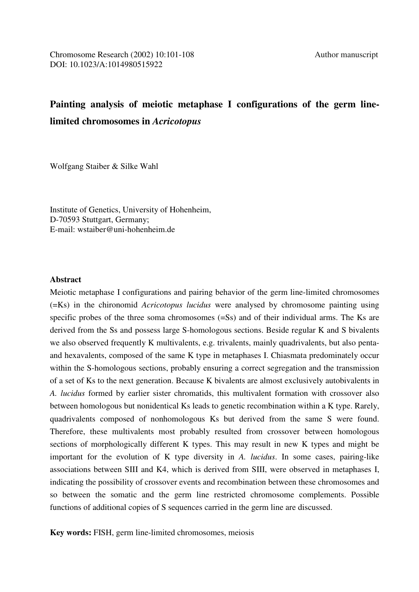# **Painting analysis of meiotic metaphase I configurations of the germ linelimited chromosomes in** *Acricotopus*

Wolfgang Staiber & Silke Wahl

Institute of Genetics, University of Hohenheim, D-70593 Stuttgart, Germany; E-mail: wstaiber@uni-hohenheim.de

### **Abstract**

Meiotic metaphase I configurations and pairing behavior of the germ line-limited chromosomes (=Ks) in the chironomid *Acricotopus lucidus* were analysed by chromosome painting using specific probes of the three soma chromosomes (=Ss) and of their individual arms. The Ks are derived from the Ss and possess large S-homologous sections. Beside regular K and S bivalents we also observed frequently K multivalents, e.g. trivalents, mainly quadrivalents, but also pentaand hexavalents, composed of the same K type in metaphases I. Chiasmata predominately occur within the S-homologous sections, probably ensuring a correct segregation and the transmission of a set of Ks to the next generation. Because K bivalents are almost exclusively autobivalents in *A. lucidus* formed by earlier sister chromatids, this multivalent formation with crossover also between homologous but nonidentical Ks leads to genetic recombination within a K type. Rarely, quadrivalents composed of nonhomologous Ks but derived from the same S were found. Therefore, these multivalents most probably resulted from crossover between homologous sections of morphologically different K types. This may result in new K types and might be important for the evolution of K type diversity in *A. lucidus*. In some cases, pairing-like associations between SIII and K4, which is derived from SIII, were observed in metaphases I, indicating the possibility of crossover events and recombination between these chromosomes and so between the somatic and the germ line restricted chromosome complements. Possible functions of additional copies of S sequences carried in the germ line are discussed.

**Key words:** FISH, germ line-limited chromosomes, meiosis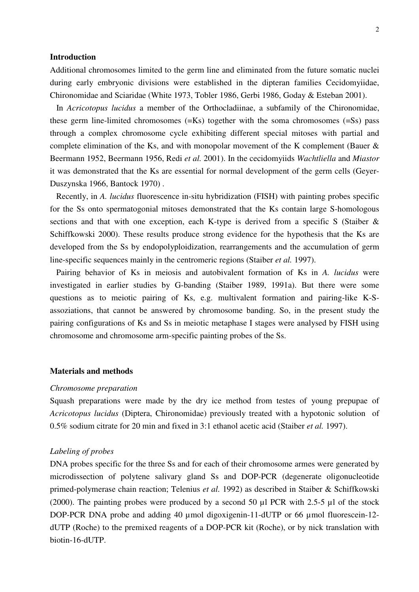#### **Introduction**

Additional chromosomes limited to the germ line and eliminated from the future somatic nuclei during early embryonic divisions were established in the dipteran families Cecidomyiidae, Chironomidae and Sciaridae (White 1973, Tobler 1986, Gerbi 1986, Goday & Esteban 2001).

 In *Acricotopus lucidus* a member of the Orthocladiinae, a subfamily of the Chironomidae, these germ line-limited chromosomes (=Ks) together with the soma chromosomes (=Ss) pass through a complex chromosome cycle exhibiting different special mitoses with partial and complete elimination of the Ks, and with monopolar movement of the K complement (Bauer & Beermann 1952, Beermann 1956, Redi *et al.* 2001). In the cecidomyiids *Wachtliella* and *Miastor* it was demonstrated that the Ks are essential for normal development of the germ cells (Geyer-Duszynska 1966, Bantock 1970) .

 Recently, in *A. lucidus* fluorescence in-situ hybridization (FISH) with painting probes specific for the Ss onto spermatogonial mitoses demonstrated that the Ks contain large S-homologous sections and that with one exception, each K-type is derived from a specific S (Staiber & Schiffkowski 2000). These results produce strong evidence for the hypothesis that the Ks are developed from the Ss by endopolyploidization, rearrangements and the accumulation of germ line-specific sequences mainly in the centromeric regions (Staiber *et al.* 1997).

 Pairing behavior of Ks in meiosis and autobivalent formation of Ks in *A. lucidus* were investigated in earlier studies by G-banding (Staiber 1989, 1991a). But there were some questions as to meiotic pairing of Ks, e.g. multivalent formation and pairing-like K-Sassoziations, that cannot be answered by chromosome banding. So, in the present study the pairing configurations of Ks and Ss in meiotic metaphase I stages were analysed by FISH using chromosome and chromosome arm-specific painting probes of the Ss.

#### **Materials and methods**

#### *Chromosome preparation*

Squash preparations were made by the dry ice method from testes of young prepupae of *Acricotopus lucidus* (Diptera, Chironomidae) previously treated with a hypotonic solution of 0.5% sodium citrate for 20 min and fixed in 3:1 ethanol acetic acid (Staiber *et al.* 1997).

#### *Labeling of probes*

DNA probes specific for the three Ss and for each of their chromosome armes were generated by microdissection of polytene salivary gland Ss and DOP-PCR (degenerate oligonucleotide primed-polymerase chain reaction; Telenius *et al.* 1992) as described in Staiber & Schiffkowski (2000). The painting probes were produced by a second 50 µl PCR with 2.5-5 µl of the stock DOP-PCR DNA probe and adding 40 µmol digoxigenin-11-dUTP or 66 µmol fluorescein-12dUTP (Roche) to the premixed reagents of a DOP-PCR kit (Roche), or by nick translation with biotin-16-dUTP.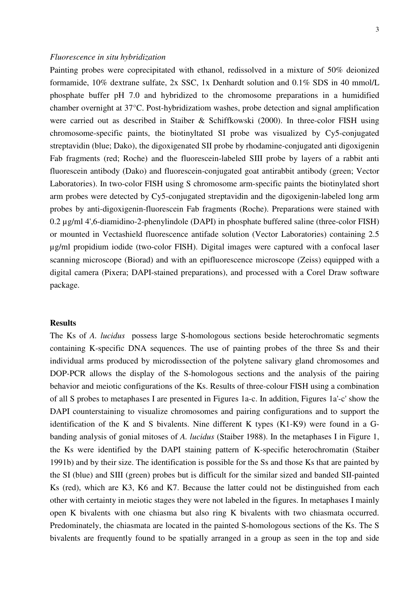## *Fluorescence in situ hybridization*

Painting probes were coprecipitated with ethanol, redissolved in a mixture of 50% deionized formamide, 10% dextrane sulfate, 2x SSC, 1x Denhardt solution and 0.1% SDS in 40 mmol/L phosphate buffer pH 7.0 and hybridized to the chromosome preparations in a humidified chamber overnight at 37°C. Post-hybridizatiom washes, probe detection and signal amplification were carried out as described in Staiber & Schiffkowski (2000). In three-color FISH using chromosome-specific paints, the biotinyltated SI probe was visualized by Cy5-conjugated streptavidin (blue; Dako), the digoxigenated SII probe by rhodamine-conjugated anti digoxigenin Fab fragments (red; Roche) and the fluorescein-labeled SIII probe by layers of a rabbit anti fluorescein antibody (Dako) and fluorescein-conjugated goat antirabbit antibody (green; Vector Laboratories). In two-color FISH using S chromosome arm-specific paints the biotinylated short arm probes were detected by Cy5-conjugated streptavidin and the digoxigenin-labeled long arm probes by anti-digoxigenin-fluorescein Fab fragments (Roche). Preparations were stained with 0.2 µg/ml 4',6-diamidino-2-phenylindole (DAPI) in phosphate buffered saline (three-color FISH) or mounted in Vectashield fluorescence antifade solution (Vector Laboratories) containing 2.5 µg/ml propidium iodide (two-color FISH). Digital images were captured with a confocal laser scanning microscope (Biorad) and with an epifluorescence microscope (Zeiss) equipped with a digital camera (Pixera; DAPI-stained preparations), and processed with a Corel Draw software package.

## **Results**

The Ks of *A. lucidus* possess large S-homologous sections beside heterochromatic segments containing K-specific DNA sequences. The use of painting probes of the three Ss and their individual arms produced by microdissection of the polytene salivary gland chromosomes and DOP-PCR allows the display of the S-homologous sections and the analysis of the pairing behavior and meiotic configurations of the Ks. Results of three-colour FISH using a combination of all S probes to metaphases I are presented in Figures 1a-c. In addition, Figures 1a'-c' show the DAPI counterstaining to visualize chromosomes and pairing configurations and to support the identification of the K and S bivalents. Nine different K types (K1-K9) were found in a Gbanding analysis of gonial mitoses of *A. lucidus* (Staiber 1988). In the metaphases I in Figure 1, the Ks were identified by the DAPI staining pattern of K-specific heterochromatin (Staiber 1991b) and by their size. The identification is possible for the Ss and those Ks that are painted by the SI (blue) and SIII (green) probes but is difficult for the similar sized and banded SII-painted Ks (red), which are K3, K6 and K7. Because the latter could not be distinguished from each other with certainty in meiotic stages they were not labeled in the figures. In metaphases I mainly open K bivalents with one chiasma but also ring K bivalents with two chiasmata occurred. Predominately, the chiasmata are located in the painted S-homologous sections of the Ks. The S bivalents are frequently found to be spatially arranged in a group as seen in the top and side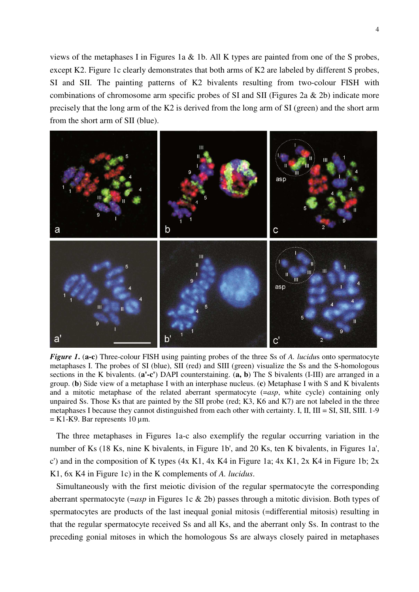views of the metaphases I in Figures 1a & 1b. All K types are painted from one of the S probes, except K2. Figure 1c clearly demonstrates that both arms of K2 are labeled by different S probes, SI and SII. The painting patterns of K2 bivalents resulting from two-colour FISH with combinations of chromosome arm specific probes of SI and SII (Figures 2a  $\&$  2b) indicate more precisely that the long arm of the K2 is derived from the long arm of SI (green) and the short arm from the short arm of SII (blue).



*Figure 1***.** (**a-c**) Three-colour FISH using painting probes of the three Ss of *A. lucidu*s onto spermatocyte metaphases I. The probes of SI (blue), SII (red) and SIII (green) visualize the Ss and the S-homologous sections in the K bivalents. (**a'-c'**) DAPI counterstaining. (**a, b**) The S bivalents (I-III) are arranged in a group. (**b**) Side view of a metaphase I with an interphase nucleus. (**c**) Metaphase I with S and K bivalents and a mitotic metaphase of the related aberrant spermatocyte (=*asp*, white cycle) containing only unpaired Ss. Those Ks that are painted by the SII probe (red; K3, K6 and K7) are not labeled in the three metaphases I because they cannot distinguished from each other with certainty. I, II, III = SI, SII, SIII. 1-9  $=$  K1-K9. Bar represents 10 µm.

 The three metaphases in Figures 1a-c also exemplify the regular occurring variation in the number of Ks (18 Ks, nine K bivalents, in Figure 1b', and 20 Ks, ten K bivalents, in Figures 1a', c') and in the composition of K types (4x K1, 4x K4 in Figure 1a; 4x K1, 2x K4 in Figure 1b; 2x K1, 6x K4 in Figure 1c) in the K complements of *A. lucidus*.

 Simultaneously with the first meiotic division of the regular spermatocyte the corresponding aberrant spermatocyte (=*asp* in Figures 1c & 2b) passes through a mitotic division. Both types of spermatocytes are products of the last inequal gonial mitosis (=differential mitosis) resulting in that the regular spermatocyte received Ss and all Ks, and the aberrant only Ss. In contrast to the preceding gonial mitoses in which the homologous Ss are always closely paired in metaphases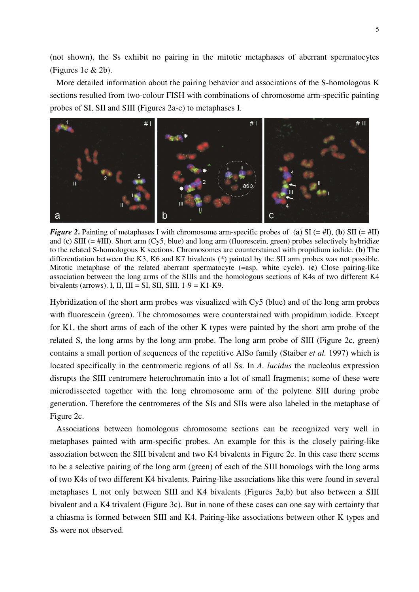(not shown), the Ss exhibit no pairing in the mitotic metaphases of aberrant spermatocytes (Figures 1c & 2b).

 More detailed information about the pairing behavior and associations of the S-homologous K sections resulted from two-colour FISH with combinations of chromosome arm-specific painting probes of SI, SII and SIII (Figures 2a-c) to metaphases I.



*Figure 2*. Painting of metaphases I with chromosome arm-specific probes of (**a**) SI (= #I), (**b**) SII (= #II) and (**c**) SIII (= #III). Short arm (Cy5, blue) and long arm (fluorescein, green) probes selectively hybridize to the related S-homologous K sections. Chromosomes are counterstained with propidium iodide. (**b**) The differentiation between the K3, K6 and K7 bivalents (\*) painted by the SII arm probes was not possible. Mitotic metaphase of the related aberrant spermatocyte (=asp, white cycle). (**c**) Close pairing-like association between the long arms of the SIIIs and the homologous sections of K4s of two different K4 bivalents (arrows). I, II, III = SI, SII, SIII.  $1-9 = K1-K9$ .

Hybridization of the short arm probes was visualized with Cy5 (blue) and of the long arm probes with fluorescein (green). The chromosomes were counterstained with propidium iodide. Except for K1, the short arms of each of the other K types were painted by the short arm probe of the related S, the long arms by the long arm probe. The long arm probe of SIII (Figure 2c, green) contains a small portion of sequences of the repetitive AlSo family (Staiber *et al.* 1997) which is located specifically in the centromeric regions of all Ss. In *A. lucidus* the nucleolus expression disrupts the SIII centromere heterochromatin into a lot of small fragments; some of these were microdissected together with the long chromosome arm of the polytene SIII during probe generation. Therefore the centromeres of the SIs and SIIs were also labeled in the metaphase of Figure 2c.

 Associations between homologous chromosome sections can be recognized very well in metaphases painted with arm-specific probes. An example for this is the closely pairing-like assoziation between the SIII bivalent and two K4 bivalents in Figure 2c. In this case there seems to be a selective pairing of the long arm (green) of each of the SIII homologs with the long arms of two K4s of two different K4 bivalents. Pairing-like associations like this were found in several metaphases I, not only between SIII and K4 bivalents (Figures 3a,b) but also between a SIII bivalent and a K4 trivalent (Figure 3c). But in none of these cases can one say with certainty that a chiasma is formed between SIII and K4. Pairing-like associations between other K types and Ss were not observed.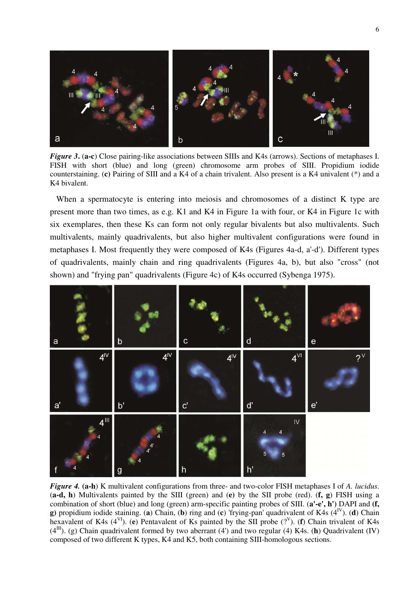

*Figure 3***.** (a-c) Close pairing-like associations between SIIIs and K4s (arrows). Sections of metaphases I. FISH with short (blue) and long (green) chromosome arm probes of SIII. Propidium iodide counterstaining. (**c)** Pairing of SIII and a K4 of a chain trivalent. Also present is a K4 univalent (\*) and a K4 bivalent.

 When a spermatocyte is entering into meiosis and chromosomes of a distinct K type are present more than two times, as e.g. K1 and K4 in Figure 1a with four, or K4 in Figure 1c with six exemplares, then these Ks can form not only regular bivalents but also multivalents. Such multivalents, mainly quadrivalents, but also higher multivalent configurations were found in metaphases I. Most frequently they were composed of K4s (Figures 4a-d, a'-d'). Different types of quadrivalents, mainly chain and ring quadrivalents (Figures 4a, b), but also "cross" (not shown) and "frying pan" quadrivalents (Figure 4c) of K4s occurred (Sybenga 1975).



*Figure 4.* **(a-h**) K multivalent configurations from three- and two-color FISH metaphases I of *A. lucidus*. (**a-d, h**) Multivalents painted by the SIII (green) and (**e)** by the SII probe (red). (**f, g**) FISH using a combination of short (blue) and long (green) arm-specific painting probes of SIII. (**a'-e', h')** DAPI and **(f, g**) propidium iodide staining. (**a**) Chain, (**b**) ring and (**c**) 'frying-pan' quadrivalent of K4s  $(4^N)$ . (**d**) Chain hexavalent of K4s (4<sup>VI</sup>). (e) Pentavalent of Ks painted by the SII probe (?<sup>V</sup>). (**f**) Chain trivalent of K4s  $(4<sup>III</sup>)$ . (g) Chain quadrivalent formed by two aberrant (4') and two regular (4) K4s. (**h**) Quadrivalent (IV) composed of two different K types, K4 and K5, both containing SIII-homologous sections.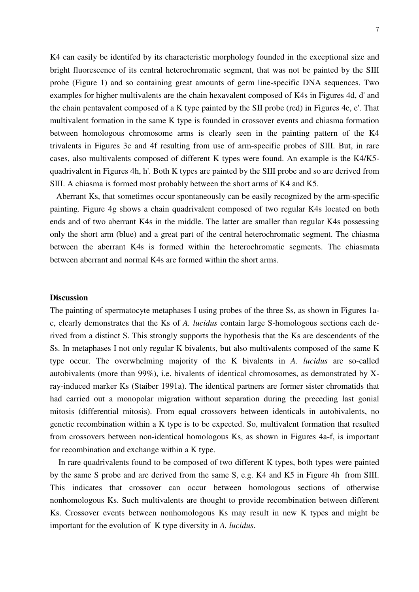K4 can easily be identifed by its characteristic morphology founded in the exceptional size and bright fluorescence of its central heterochromatic segment, that was not be painted by the SIII probe (Figure 1) and so containing great amounts of germ line-specific DNA sequences. Two examples for higher multivalents are the chain hexavalent composed of K4s in Figures 4d, d' and the chain pentavalent composed of a K type painted by the SII probe (red) in Figures 4e, e'. That multivalent formation in the same K type is founded in crossover events and chiasma formation between homologous chromosome arms is clearly seen in the painting pattern of the K4 trivalents in Figures 3c and 4f resulting from use of arm-specific probes of SIII. But, in rare cases, also multivalents composed of different K types were found. An example is the K4/K5 quadrivalent in Figures 4h, h'. Both K types are painted by the SIII probe and so are derived from SIII. A chiasma is formed most probably between the short arms of K4 and K5.

 Aberrant Ks, that sometimes occur spontaneously can be easily recognized by the arm-specific painting. Figure 4g shows a chain quadrivalent composed of two regular K4s located on both ends and of two aberrant K4s in the middle. The latter are smaller than regular K4s possessing only the short arm (blue) and a great part of the central heterochromatic segment. The chiasma between the aberrant K4s is formed within the heterochromatic segments. The chiasmata between aberrant and normal K4s are formed within the short arms.

#### **Discussion**

The painting of spermatocyte metaphases I using probes of the three Ss, as shown in Figures 1ac, clearly demonstrates that the Ks of *A. lucidus* contain large S-homologous sections each derived from a distinct S. This strongly supports the hypothesis that the Ks are descendents of the Ss. In metaphases I not only regular K bivalents, but also multivalents composed of the same K type occur. The overwhelming majority of the K bivalents in *A. lucidus* are so-called autobivalents (more than 99%), i.e. bivalents of identical chromosomes, as demonstrated by Xray-induced marker Ks (Staiber 1991a). The identical partners are former sister chromatids that had carried out a monopolar migration without separation during the preceding last gonial mitosis (differential mitosis). From equal crossovers between identicals in autobivalents, no genetic recombination within a K type is to be expected. So, multivalent formation that resulted from crossovers between non-identical homologous Ks, as shown in Figures 4a-f, is important for recombination and exchange within a K type.

 In rare quadrivalents found to be composed of two different K types, both types were painted by the same S probe and are derived from the same S, e.g. K4 and K5 in Figure 4h from SIII. This indicates that crossover can occur between homologous sections of otherwise nonhomologous Ks. Such multivalents are thought to provide recombination between different Ks. Crossover events between nonhomologous Ks may result in new K types and might be important for the evolution of K type diversity in *A. lucidus*.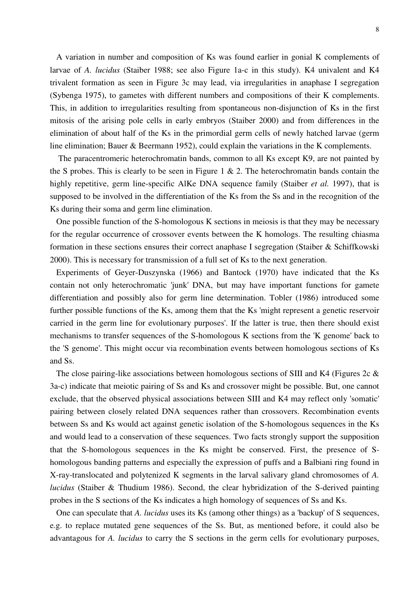A variation in number and composition of Ks was found earlier in gonial K complements of larvae of *A. lucidus* (Staiber 1988; see also Figure 1a-c in this study). K4 univalent and K4 trivalent formation as seen in Figure 3c may lead, via irregularities in anaphase I segregation (Sybenga 1975), to gametes with different numbers and compositions of their K complements. This, in addition to irregularities resulting from spontaneous non-disjunction of Ks in the first mitosis of the arising pole cells in early embryos (Staiber 2000) and from differences in the elimination of about half of the Ks in the primordial germ cells of newly hatched larvae (germ line elimination; Bauer & Beermann 1952), could explain the variations in the K complements.

 The paracentromeric heterochromatin bands, common to all Ks except K9, are not painted by the S probes. This is clearly to be seen in Figure 1  $\&$  2. The heterochromatin bands contain the highly repetitive, germ line-specific AlKe DNA sequence family (Staiber *et al.* 1997), that is supposed to be involved in the differentiation of the Ks from the Ss and in the recognition of the Ks during their soma and germ line elimination.

 One possible function of the S-homologous K sections in meiosis is that they may be necessary for the regular occurrence of crossover events between the K homologs. The resulting chiasma formation in these sections ensures their correct anaphase I segregation (Staiber & Schiffkowski 2000). This is necessary for transmission of a full set of Ks to the next generation.

 Experiments of Geyer-Duszynska (1966) and Bantock (1970) have indicated that the Ks contain not only heterochromatic 'junk' DNA, but may have important functions for gamete differentiation and possibly also for germ line determination. Tobler (1986) introduced some further possible functions of the Ks, among them that the Ks 'might represent a genetic reservoir carried in the germ line for evolutionary purposes'. If the latter is true, then there should exist mechanisms to transfer sequences of the S-homologous K sections from the 'K genome' back to the 'S genome'. This might occur via recombination events between homologous sections of Ks and Ss.

The close pairing-like associations between homologous sections of SIII and K4 (Figures 2c & 3a-c) indicate that meiotic pairing of Ss and Ks and crossover might be possible. But, one cannot exclude, that the observed physical associations between SIII and K4 may reflect only 'somatic' pairing between closely related DNA sequences rather than crossovers. Recombination events between Ss and Ks would act against genetic isolation of the S-homologous sequences in the Ks and would lead to a conservation of these sequences. Two facts strongly support the supposition that the S-homologous sequences in the Ks might be conserved. First, the presence of Shomologous banding patterns and especially the expression of puffs and a Balbiani ring found in X-ray-translocated and polytenized K segments in the larval salivary gland chromosomes of *A. lucidus* (Staiber & Thudium 1986). Second, the clear hybridization of the S-derived painting probes in the S sections of the Ks indicates a high homology of sequences of Ss and Ks.

One can speculate that *A. lucidus* uses its Ks (among other things) as a 'backup' of S sequences, e.g. to replace mutated gene sequences of the Ss. But, as mentioned before, it could also be advantagous for *A. lucidus* to carry the S sections in the germ cells for evolutionary purposes,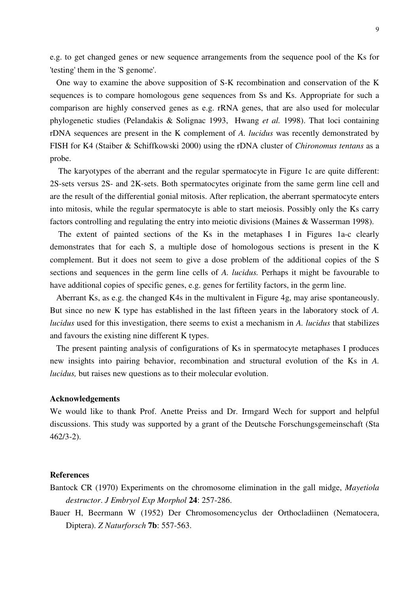e.g. to get changed genes or new sequence arrangements from the sequence pool of the Ks for 'testing' them in the 'S genome'.

 One way to examine the above supposition of S-K recombination and conservation of the K sequences is to compare homologous gene sequences from Ss and Ks. Appropriate for such a comparison are highly conserved genes as e.g. rRNA genes, that are also used for molecular phylogenetic studies (Pelandakis & Solignac 1993, Hwang *et al.* 1998). That loci containing rDNA sequences are present in the K complement of *A. lucidus* was recently demonstrated by FISH for K4 (Staiber & Schiffkowski 2000) using the rDNA cluster of *Chironomus tentans* as a probe.

 The karyotypes of the aberrant and the regular spermatocyte in Figure 1c are quite different: 2S-sets versus 2S- and 2K-sets. Both spermatocytes originate from the same germ line cell and are the result of the differential gonial mitosis. After replication, the aberrant spermatocyte enters into mitosis, while the regular spermatocyte is able to start meiosis. Possibly only the Ks carry factors controlling and regulating the entry into meiotic divisions (Maines & Wasserman 1998).

The extent of painted sections of the Ks in the metaphases I in Figures 1a-c clearly demonstrates that for each S, a multiple dose of homologous sections is present in the K complement. But it does not seem to give a dose problem of the additional copies of the S sections and sequences in the germ line cells of *A. lucidus.* Perhaps it might be favourable to have additional copies of specific genes, e.g. genes for fertility factors, in the germ line.

 Aberrant Ks, as e.g. the changed K4s in the multivalent in Figure 4g, may arise spontaneously. But since no new K type has established in the last fifteen years in the laboratory stock of *A. lucidus* used for this investigation, there seems to exist a mechanism in *A. lucidus* that stabilizes and favours the existing nine different K types.

 The present painting analysis of configurations of Ks in spermatocyte metaphases I produces new insights into pairing behavior, recombination and structural evolution of the Ks in *A. lucidus,* but raises new questions as to their molecular evolution.

### **Acknowledgements**

We would like to thank Prof. Anette Preiss and Dr. Irmgard Wech for support and helpful discussions. This study was supported by a grant of the Deutsche Forschungsgemeinschaft (Sta 462/3-2).

## **References**

Bantock CR (1970) Experiments on the chromosome elimination in the gall midge, *Mayetiola destructor*. *J Embryol Exp Morphol* **24**: 257-286.

Bauer H, Beermann W (1952) Der Chromosomencyclus der Orthocladiinen (Nematocera, Diptera). *Z Naturforsch* **7b**: 557-563.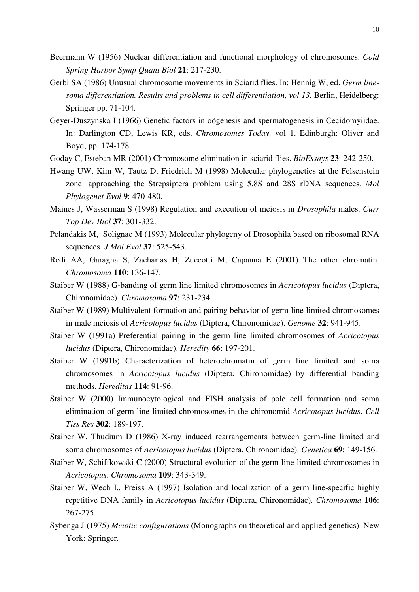- Beermann W (1956) Nuclear differentiation and functional morphology of chromosomes. *Cold Spring Harbor Symp Quant Biol* **21**: 217-230.
- Gerbi SA (1986) Unusual chromosome movements in Sciarid flies. In: Hennig W, ed. *Germ linesoma differentiation. Results and problems in cell differentiation, vol 13.* Berlin, Heidelberg: Springer pp. 71-104.
- Geyer-Duszynska I (1966) Genetic factors in oögenesis and spermatogenesis in Cecidomyiidae. In: Darlington CD, Lewis KR, eds. *Chromosomes Today,* vol 1. Edinburgh: Oliver and Boyd, pp. 174-178.
- Goday C, Esteban MR (2001) Chromosome elimination in sciarid flies. *BioEssays* **23**: 242-250.
- Hwang UW, Kim W, Tautz D, Friedrich M (1998) Molecular phylogenetics at the Felsenstein zone: approaching the Strepsiptera problem using 5.8S and 28S rDNA sequences. *Mol Phylogenet Evol* **9**: 470-480.
- Maines J, Wasserman S (1998) Regulation and execution of meiosis in *Drosophila* males. *Curr Top Dev Biol* **37**: 301-332.
- Pelandakis M, Solignac M (1993) Molecular phylogeny of Drosophila based on ribosomal RNA sequences. *J Mol Evol* **37**: 525-543.
- Redi AA, Garagna S, Zacharias H, Zuccotti M, Capanna E (2001) The other chromatin. *Chromosoma* **110**: 136-147.
- Staiber W (1988) G-banding of germ line limited chromosomes in *Acricotopus lucidus* (Diptera, Chironomidae). *Chromosoma* **97**: 231-234
- Staiber W (1989) Multivalent formation and pairing behavior of germ line limited chromosomes in male meiosis of *Acricotopus lucidus* (Diptera, Chironomidae). *Genome* **32**: 941-945.
- Staiber W (1991a) Preferential pairing in the germ line limited chromosomes of *Acricotopus lucidus* (Diptera, Chironomidae). *Heredity* **66**: 197-201.
- Staiber W (1991b) Characterization of heterochromatin of germ line limited and soma chromosomes in *Acricotopus lucidus* (Diptera, Chironomidae) by differential banding methods. *Hereditas* **114**: 91-96.
- Staiber W (2000) Immunocytological and FISH analysis of pole cell formation and soma elimination of germ line-limited chromosomes in the chironomid *Acricotopus lucidus*. *Cell Tiss Res* **302**: 189-197.
- Staiber W, Thudium D (1986) X-ray induced rearrangements between germ-line limited and soma chromosomes of *Acricotopus lucidus* (Diptera, Chironomidae). *Genetica* **69**: 149-156.
- Staiber W, Schiffkowski C (2000) Structural evolution of the germ line-limited chromosomes in *Acricotopus*. *Chromosoma* **109**: 343-349.
- Staiber W, Wech I., Preiss A (1997) Isolation and localization of a germ line-specific highly repetitive DNA family in *Acricotopus lucidus* (Diptera, Chironomidae). *Chromosoma* **106**: 267-275.
- Sybenga J (1975) *Meiotic configurations* (Monographs on theoretical and applied genetics). New York: Springer.